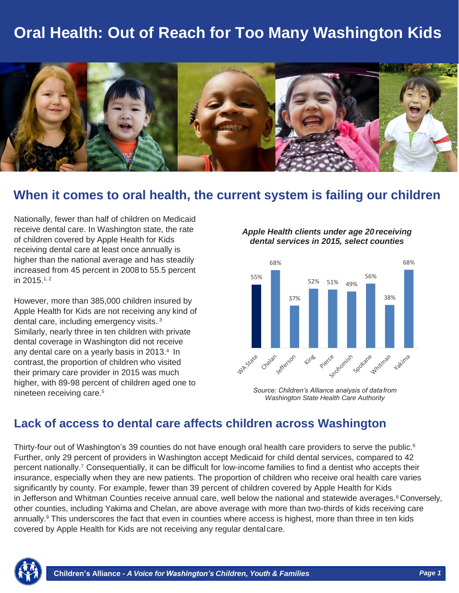## **Oral Health: Out of Reach for Too Many Washington Kids**



### **When it comes to oral health, the current system is failing our children**

Nationally, fewer than half of children on Medicaid receive dental care. In Washington state, the rate of children covered by Apple Health for Kids receiving dental care at least once annually is higher than the national average and has steadily increased from 45 percent in 2008 to 55.5 percent in 2015.1, <sup>2</sup>

However, more than 385,000 children insured by Apple Health for Kids are not receiving any kind of dental care, including emergency visits. <sup>3</sup> Similarly, nearly three in ten children with private dental coverage in Washington did not receive any dental care on a yearly basis in 2013.<sup>4</sup> In contrast, the proportion of children who visited their primary care provider in 2015 was much higher, with 89-98 percent of children aged one to nineteen receiving care.<sup>5</sup>

*Apple Health clients under age 20 receiving dental services in 2015, select counties*



*Source: Children's Alliance analysis of datafrom Washington State Health Care Authority*

### **Lack of access to dental care affects children across Washington**

Thirty-four out of Washington's 39 counties do not have enough oral health care providers to serve the public.<sup>6</sup> Further, only 29 percent of providers in Washington accept Medicaid for child dental services, compared to 42 percent nationally.<sup>7</sup> Consequentially, it can be difficult for low-income families to find a dentist who accepts their insurance, especially when they are new patients. The proportion of children who receive oral health care varies significantly by county. For example, fewer than 39 percent of children covered by Apple Health for Kids in Jefferson and Whitman Counties receive annual care, well below the national and statewide averages.<sup>8</sup> Conversely, other counties, including Yakima and Chelan, are above average with more than two-thirds of kids receiving care annually.<sup>9</sup> This underscores the fact that even in counties where access is highest, more than three in ten kids covered by Apple Health for Kids are not receiving any regular dental care.

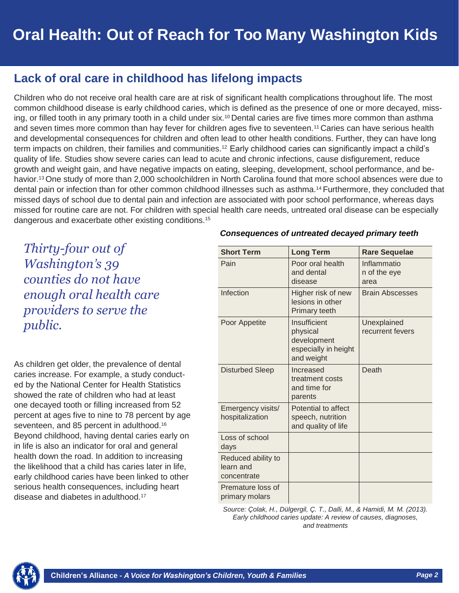### **Lack of oral care in childhood has lifelong impacts**

Children who do not receive oral health care are at risk of significant health complications throughout life. The most common childhood disease is early childhood caries, which is defined as the presence of one or more decayed, missing, or filled tooth in any primary tooth in a child under six.<sup>10</sup> Dental caries are five times more common than asthma and seven times more common than hay fever for children ages five to seventeen.<sup>11</sup> Caries can have serious health and developmental consequences for children and often lead to other health conditions. Further, they can have long term impacts on children, their families and communities.12 Early childhood caries can significantly impact a child's quality of life. Studies show severe caries can lead to acute and chronic infections, cause disfigurement, reduce growth and weight gain, and have negative impacts on eating, sleeping, development, school performance, and behavior.13 One study of more than 2,000 schoolchildren in North Carolina found that more school absences were due to dental pain or infection than for other common childhood illnesses such as asthma.14 Furthermore, they concluded that missed days of school due to dental pain and infection are associated with poor school performance, whereas days missed for routine care are not. For children with special health care needs, untreated oral disease can be especially dangerous and exacerbate other existing conditions.<sup>15</sup>

*Thirty-four out of Washington's 39 counties do not have enough oral health care providers to serve the public.*

As children get older, the prevalence of dental caries increase. For example, a study conducted by the National Center for Health Statistics showed the rate of children who had at least one decayed tooth or filling increased from 52 percent at ages five to nine to 78 percent by age seventeen, and 85 percent in adulthood.<sup>16</sup> Beyond childhood, having dental caries early on in life is also an indicator for oral and general health down the road. In addition to increasing the likelihood that a child has caries later in life, early childhood caries have been linked to other serious health consequences, including heart disease and diabetes in adulthood.<sup>17</sup>

#### *Consequences of untreated decayed primary teeth*

| <b>Short Term</b>                              | <b>Long Term</b>                                                              | <b>Rare Sequelae</b>                |
|------------------------------------------------|-------------------------------------------------------------------------------|-------------------------------------|
| Pain                                           | Poor oral health<br>and dental<br>disease                                     | Inflammatio<br>n of the eye<br>area |
| Infection                                      | Higher risk of new<br>lesions in other<br><b>Primary teeth</b>                | <b>Brain Abscesses</b>              |
| Poor Appetite                                  | Insufficient<br>physical<br>development<br>especially in height<br>and weight | Unexplained<br>recurrent fevers     |
| <b>Disturbed Sleep</b>                         | Increased<br>treatment costs<br>and time for<br>parents                       | Death                               |
| Emergency visits/<br>hospitalization           | Potential to affect<br>speech, nutrition<br>and quality of life               |                                     |
| Loss of school<br>days                         |                                                                               |                                     |
| Reduced ability to<br>learn and<br>concentrate |                                                                               |                                     |
| Premature loss of<br>primary molars            |                                                                               |                                     |

*Source: Çolak, H., Dülgergil, Ç. T., Dalli, M., & Hamidi, M. M. (2013). Early childhood caries update: A review of causes, diagnoses, and treatments*

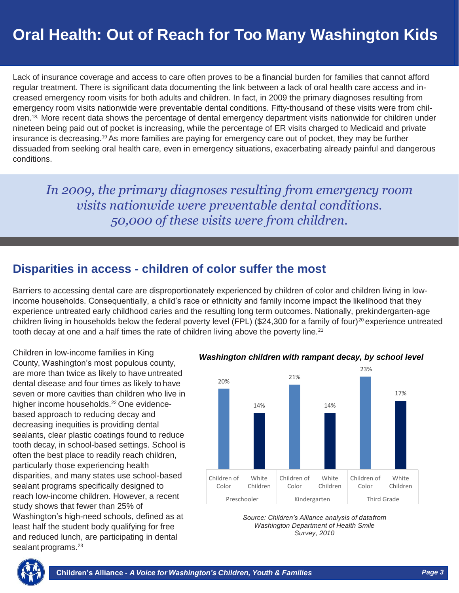Lack of insurance coverage and access to care often proves to be a financial burden for families that cannot afford regular treatment. There is significant data documenting the link between a lack of oral health care access and increased emergency room visits for both adults and children. In fact, in 2009 the primary diagnoses resulting from emergency room visits nationwide were preventable dental conditions. Fifty-thousand of these visits were from children.<sup>18,</sup> More recent data shows the percentage of dental emergency department visits nationwide for children under nineteen being paid out of pocket is increasing, while the percentage of ER visits charged to Medicaid and private insurance is decreasing.19As more families are paying for emergency care out of pocket, they may be further dissuaded from seeking oral health care, even in emergency situations, exacerbating already painful and dangerous conditions.

*In 2009, the primary diagnoses resulting from emergency room visits nationwide were preventable dental conditions. 50,000 of these visits were from children.*

### **Disparities in access - children of color suffer the most**

Barriers to accessing dental care are disproportionately experienced by children of color and children living in lowincome households. Consequentially, a child's race or ethnicity and family income impact the likelihood that they experience untreated early childhood caries and the resulting long term outcomes. Nationally, prekindergarten-age children living in households below the federal poverty level (FPL) (\$24,300 for a family of four)<sup>20</sup> experience untreated tooth decay at one and a half times the rate of children living above the poverty line.<sup>21</sup>

Children in low-income families in King County, Washington's most populous county, are more than twice as likely to have untreated dental disease and four times as likely to have seven or more cavities than children who live in higher income households.<sup>22</sup> One evidencebased approach to reducing decay and decreasing inequities is providing dental sealants, clear plastic coatings found to reduce tooth decay, in school-based settings. School is often the best place to readily reach children, particularly those experiencing health disparities, and many states use school-based sealant programs specifically designed to reach low-income children. However, a recent study shows that fewer than 25% of Washington's high-need schools, defined as at least half the student body qualifying for free and reduced lunch, are participating in dental sealant programs.<sup>23</sup>

*Washington children with rampant decay, by school level*







*& Families*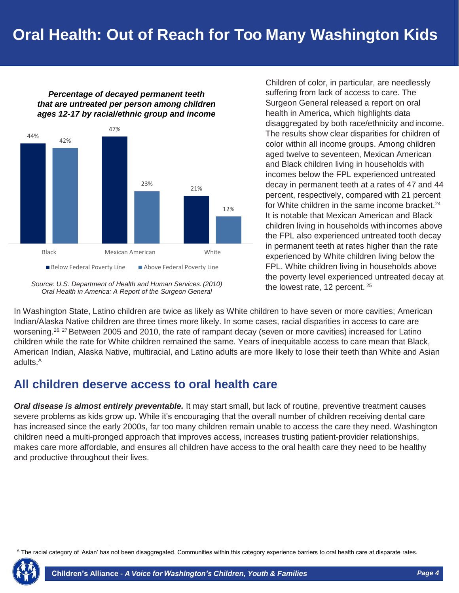#### *Percentage of decayed permanent teeth that are untreated per person among children ages 12-17 by racial/ethnic group and income*



*Source: U.S. Department of Health and Human Services.(2010) Oral Health in America: A Report of the Surgeon General*

Children of color, in particular, are needlessly suffering from lack of access to care. The Surgeon General released a report on oral health in America, which highlights data disaggregated by both race/ethnicity and income. The results show clear disparities for children of color within all income groups. Among children aged twelve to seventeen, Mexican American and Black children living in households with incomes below the FPL experienced untreated decay in permanent teeth at a rates of 47 and 44 percent, respectively, compared with 21 percent for White children in the same income bracket.<sup>24</sup> It is notable that Mexican American and Black children living in households with incomes above the FPL also experienced untreated tooth decay in permanent teeth at rates higher than the rate experienced by White children living below the FPL. White children living in households above the poverty level experienced untreated decay at the lowest rate, 12 percent. <sup>25</sup>

In Washington State, Latino children are twice as likely as White children to have seven or more cavities; American Indian/Alaska Native children are three times more likely. In some cases, racial disparities in access to care are worsening.<sup>26, 27</sup> Between 2005 and 2010, the rate of rampant decay (seven or more cavities) increased for Latino children while the rate for White children remained the same. Years of inequitable access to care mean that Black, American Indian, Alaska Native, multiracial, and Latino adults are more likely to lose their teeth than White and Asian adults.<sup>A</sup>

### **All children deserve access to oral health care**

*Oral disease is almost entirely preventable.* It may start small, but lack of routine, preventive treatment causes severe problems as kids grow up. While it's encouraging that the overall number of children receiving dental care has increased since the early 2000s, far too many children remain unable to access the care they need. Washington children need a multi-pronged approach that improves access, increases trusting patient-provider relationships, makes care more affordable, and ensures all children have access to the oral health care they need to be healthy and productive throughout their lives.

<sup>&</sup>lt;sup>A</sup> The racial category of 'Asian' has not been disaggregated. Communities within this category experience barriers to oral health care at disparate rates.

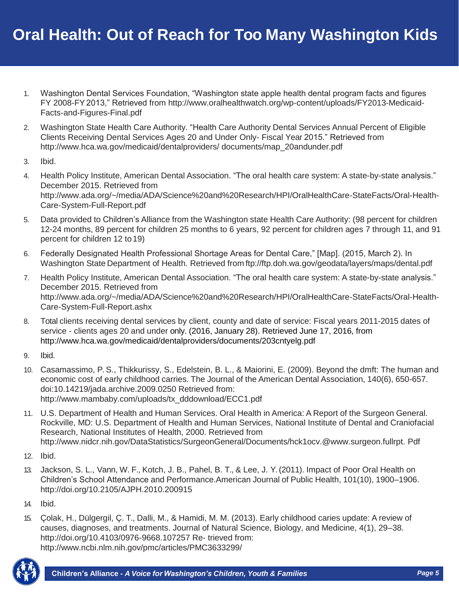- 1. Washington Dental Services Foundation, "Washington state apple health dental program facts and figures FY 2008-FY2013," Retrieved from [http://www.oralhealthwatch.org/wp-content/uploads/FY2013-Medicaid-](http://www.oralhealthwatch.org/wp-content/uploads/FY2013-Medicaid-Facts-and-Figures-Final.pdf)[Facts-and-Figures-Final.pdf](http://www.oralhealthwatch.org/wp-content/uploads/FY2013-Medicaid-Facts-and-Figures-Final.pdf)
- 2. Washington State Health Care Authority. "Health Care Authority Dental Services Annual Percent of Eligible Clients Receiving Dental Services Ages 20 and Under Only- Fiscal Year 2015." Retrieved [from](http://www.hca.wa.gov/medicaid/dentalproviders/)  <http://www.hca.wa.gov/medicaid/dentalproviders/> documents/map\_20andunder.pdf
- 3. Ibid.
- 4. Health Policy Institute, American Dental Association. "The oral health care system: A state-by-state analysis." December 2015. Retrieved from http://www.ada.org/~/media/ADA/Science%20and%20Research/HPI/OralHealthCare-StateFacts/Oral-Health-Care-System-Full-Report.pdf
- 5. Data provided to Children's Alliance from the Washington state Health Care Authority: (98 percent for children 12-24 months, 89 percent for children 25 months to 6 years, 92 percent for children ages 7 through 11, and 91 percent for children 12 to19)
- 6. Federally Designated Health Professional Shortage Areas for Dental Care," [Map]. (2015, March 2). In Washington State Department of Health. Retrieved from ftp://ftp.doh.wa.gov/geodata/layers/maps/dental.pdf
- 7. Health Policy Institute, American Dental Association. "The oral health care system: A state-by-state analysis." December 2015. Retrieved from <http://www.ada.org/~/media/ADA/Science%20and%20Research/HPI/OralHealthCare-StateFacts/Oral-Health->Care-System-Full-Report.ashx
- 8. Total clients receiving dental services by client, county and date of service: Fiscal years 2011-2015 dates of service - clients ages 20 and under only. (2016, January 28). Retrieved June 17, 2016, from <http://www.hca.wa.gov/medicaid/dentalproviders/documents/203cntyelg.pdf>
- 9. Ibid.
- 10. Casamassimo, P. S., Thikkurissy, S., Edelstein, B. L., & Maiorini, E. (2009). Beyond the dmft: The human and economic cost of early childhood carries. The Journal of the American Dental Association, 140(6), 650-657. doi:10.14219/jada.archive.2009.0250 Retrieved [from:](http://www.mambaby.com/uploads/tx_dddownload/ECC1.pdf) [http://www.mambaby.com/uploads/tx\\_dddownload/ECC1.pdf](http://www.mambaby.com/uploads/tx_dddownload/ECC1.pdf)
- 11. U.S. Department of Health and Human Services. Oral Health in America: A Report of the Surgeon General. Rockville, MD: U.S. Department of Health and Human Services, National Institute of Dental and Craniofacial Research, National Institutes of Health, 2000. Retrieved from [http://www.nidcr.nih.gov/DataStatistics/SurgeonGeneral/Documents/hck1ocv.@www.surgeon.fullrpt.](http://www.nidcr.nih.gov/DataStatistics/SurgeonGeneral/Documents/hck1ocv.%40www.surgeon.fullrpt) Pdf
- 12. Ibid.
- 13. Jackson, S. L., Vann, W. F., Kotch, J. B., Pahel, B. T., & Lee, J. Y. (2011). Impact of Poor Oral Health on Children's School Attendance and Performance.American Journal of Public Health, 101(10), 1900–1906. <http://doi.org/10.2105/AJPH.2010.200915>
- 14. Ibid.
- 15. Çolak, H., Dülgergil, Ç. T., Dalli, M., & Hamidi, M. M. (2013). Early childhood caries update: A review of causes, diagnoses, and treatments. Journal of Natural Science, Biology, and Medicine, 4(1), 29–38. <http://doi.org/10.4103/0976-9668.107257> Re- trieved from: <http://www.ncbi.nlm.nih.gov/pmc/articles/PMC3633299/>